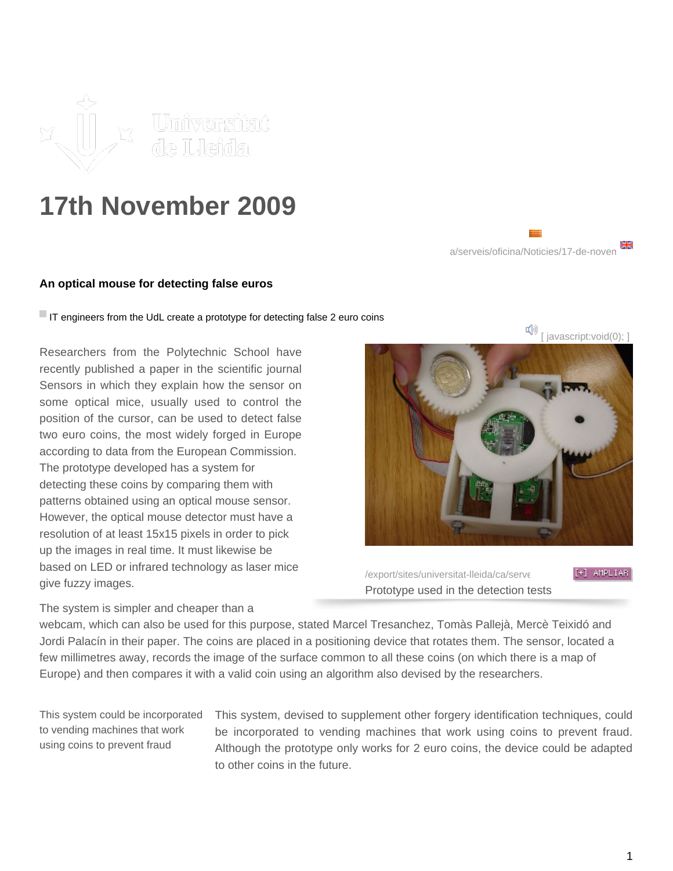

## **17th November 2009**

## **An optical mouse for detecting false euros**

If IT engineers from the UdL create a prototype for detecting false 2 euro coins

Researchers from the Polytechnic School have recently published a paper in the scientific journal Sensors in which they explain how the sensor on some optical mice, usually used to control the position of the cursor, can be used to detect false two euro coins, the most widely forged in Europe according to data from the European Commission. The prototype developed has a system for detecting these coins by comparing them with patterns obtained using an optical mouse sensor. However, the optical mouse detector must have a resolution of at least 15x15 pixels in order to pick up the images in real time. It must likewise be based on LED or infrared technology as laser mice give fuzzy images.

iavascript:void(0);

a/serveis/oficina/Noticies/17-de-noven

/export/sites/universitat-lleida/ca/serveisimages-premsarileries/images/images-Prototype used in the detection tests

The system is simpler and cheaper than a

webcam, which can also be used for this purpose, stated Marcel Tresanchez, Tomàs Pallejà, Mercè Teixidó and Jordi Palacín in their paper. The coins are placed in a positioning device that rotates them. The sensor, located a few millimetres away, records the image of the surface common to all these coins (on which there is a map of Europe) and then compares it with a valid coin using an algorithm also devised by the researchers.

This system could be incorporated to vending machines that work using coins to prevent fraud

This system, devised to supplement other forgery identification techniques, could be incorporated to vending machines that work using coins to prevent fraud. Although the prototype only works for 2 euro coins, the device could be adapted to other coins in the future.